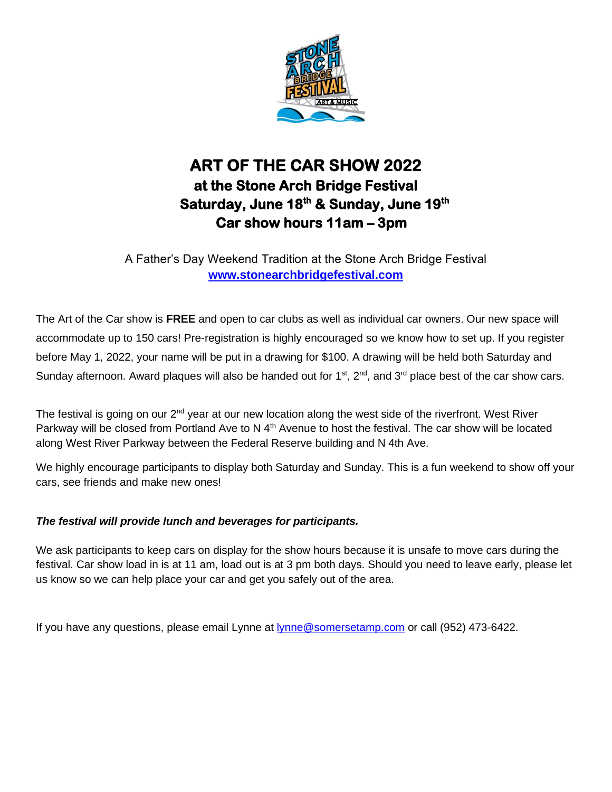

## **ART OF THE CAR SHOW 2022 at the Stone Arch Bridge Festival**  Saturday, June 18<sup>th</sup> & Sunday, June 19<sup>th</sup> **Car show hours 11am – 3pm**

A Father's Day Weekend Tradition at the Stone Arch Bridge Festival **[www.stonearchbridgefestival.com](http://www.stonearchbridgefestival.com/)**

The Art of the Car show is **FREE** and open to car clubs as well as individual car owners. Our new space will accommodate up to 150 cars! Pre-registration is highly encouraged so we know how to set up. If you register before May 1, 2022, your name will be put in a drawing for \$100. A drawing will be held both Saturday and Sunday afternoon. Award plaques will also be handed out for  $1^{st}$ ,  $2^{nd}$ , and  $3^{rd}$  place best of the car show cars.

The festival is going on our  $2^{nd}$  year at our new location along the west side of the riverfront. West River Parkway will be closed from Portland Ave to N  $4<sup>th</sup>$  Avenue to host the festival. The car show will be located along West River Parkway between the Federal Reserve building and N 4th Ave.

We highly encourage participants to display both Saturday and Sunday. This is a fun weekend to show off your cars, see friends and make new ones!

## *The festival will provide lunch and beverages for participants.*

We ask participants to keep cars on display for the show hours because it is unsafe to move cars during the festival. Car show load in is at 11 am, load out is at 3 pm both days. Should you need to leave early, please let us know so we can help place your car and get you safely out of the area.

If you have any questions, please email Lynne at [lynne@somersetamp.com](mailto:lynne@somersetamp.com) or call (952) 473-6422.